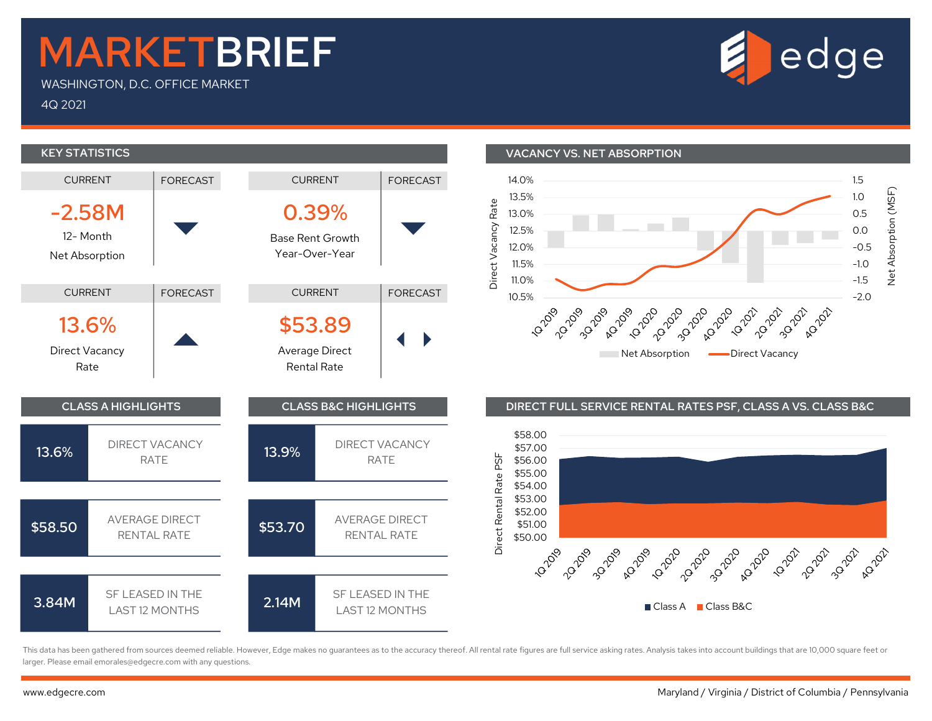## MARKETBRIEF

WASHINGTON, D.C. OFFICE MARKET

4Q 2021



This data has been gathered from sources deemed reliable. However, Edge makes no guarantees as to the accuracy thereof. All rental rate figures are full service asking rates. Analysis takes into account buildings that are larger. Please email emorales@edgecre.com with any questions.